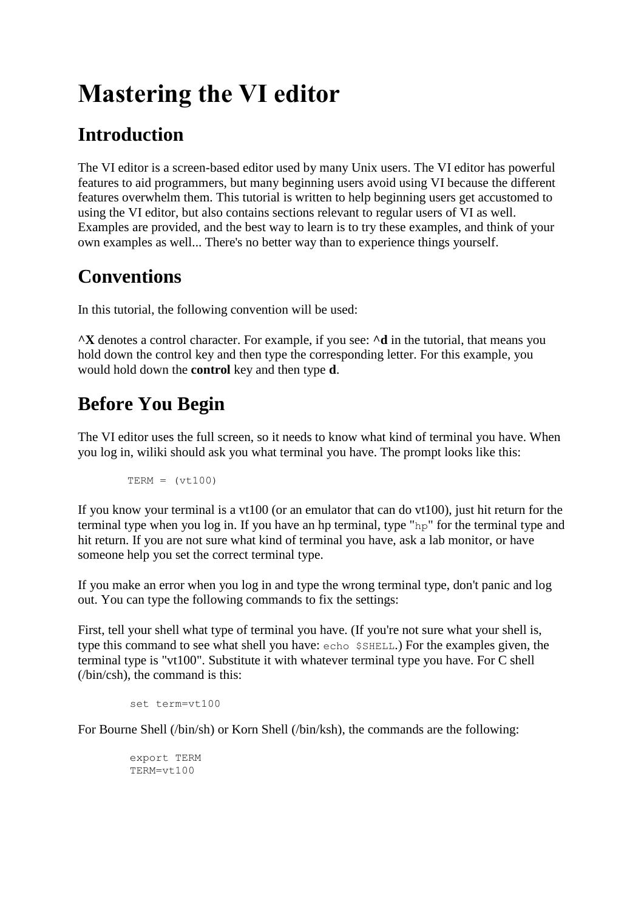# **Mastering the VI editor**

# **Introduction**

The VI editor is a screen-based editor used by many Unix users. The VI editor has powerful features to aid programmers, but many beginning users avoid using VI because the different features overwhelm them. This tutorial is written to help beginning users get accustomed to using the VI editor, but also contains sections relevant to regular users of VI as well. Examples are provided, and the best way to learn is to try these examples, and think of your own examples as well... There's no better way than to experience things yourself.

# **Conventions**

In this tutorial, the following convention will be used:

**^X** denotes a control character. For example, if you see: **^d** in the tutorial, that means you hold down the control key and then type the corresponding letter. For this example, you would hold down the **control** key and then type **d**.

# **Before You Begin**

The VI editor uses the full screen, so it needs to know what kind of terminal you have. When you log in, wiliki should ask you what terminal you have. The prompt looks like this:

 $TERM = (vt100)$ 

If you know your terminal is a vt100 (or an emulator that can do vt100), just hit return for the terminal type when you log in. If you have an hp terminal, type "hp" for the terminal type and hit return. If you are not sure what kind of terminal you have, ask a lab monitor, or have someone help you set the correct terminal type.

If you make an error when you log in and type the wrong terminal type, don't panic and log out. You can type the following commands to fix the settings:

First, tell your shell what type of terminal you have. (If you're not sure what your shell is, type this command to see what shell you have: echo \$SHELL.) For the examples given, the terminal type is "vt100". Substitute it with whatever terminal type you have. For C shell (/bin/csh), the command is this:

```
 set term=vt100
```
For Bourne Shell (/bin/sh) or Korn Shell (/bin/ksh), the commands are the following:

```
 export TERM
 TERM=vt100
```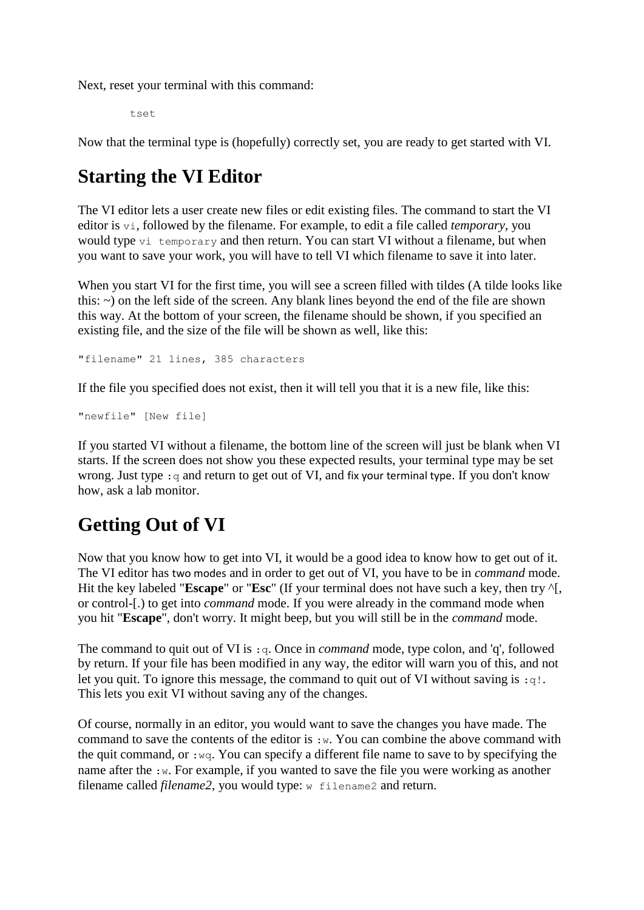Next, reset your terminal with this command:

tset

Now that the terminal type is (hopefully) correctly set, you are ready to get started with VI.

### **Starting the VI Editor**

The VI editor lets a user create new files or edit existing files. The command to start the VI editor is vi, followed by the filename. For example, to edit a file called *temporary*, you would type vi temporary and then return. You can start VI without a filename, but when you want to save your work, you will have to tell VI which filename to save it into later.

When you start VI for the first time, you will see a screen filled with tildes (A tilde looks like this: ~) on the left side of the screen. Any blank lines beyond the end of the file are shown this way. At the bottom of your screen, the filename should be shown, if you specified an existing file, and the size of the file will be shown as well, like this:

"filename" 21 lines, 385 characters

If the file you specified does not exist, then it will tell you that it is a new file, like this:

"newfile" [New file]

If you started VI without a filename, the bottom line of the screen will just be blank when VI starts. If the screen does not show you these expected results, your terminal type may be set wrong. Just type : q and return to get out of VI, and fix your terminal type. If you don't know how, ask a lab monitor.

### **Getting Out of VI**

Now that you know how to get into VI, it would be a good idea to know how to get out of it. The VI editor has two modes and in order to get out of VI, you have to be in *command* mode. Hit the key labeled "**Escape**" or "**Esc**" (If your terminal does not have such a key, then try ^[, or control-[.) to get into *command* mode. If you were already in the command mode when you hit "**Escape**", don't worry. It might beep, but you will still be in the *command* mode.

The command to quit out of VI is  $:q$ . Once in *command* mode, type colon, and 'q', followed by return. If your file has been modified in any way, the editor will warn you of this, and not let you quit. To ignore this message, the command to quit out of VI without saving is :q!. This lets you exit VI without saving any of the changes.

Of course, normally in an editor, you would want to save the changes you have made. The command to save the contents of the editor is  $:w.$  You can combine the above command with the quit command, or  $:$   $wq$ . You can specify a different file name to save to by specifying the name after the  $:w$ . For example, if you wanted to save the file you were working as another filename called *filename2*, you would type: w filename2 and return.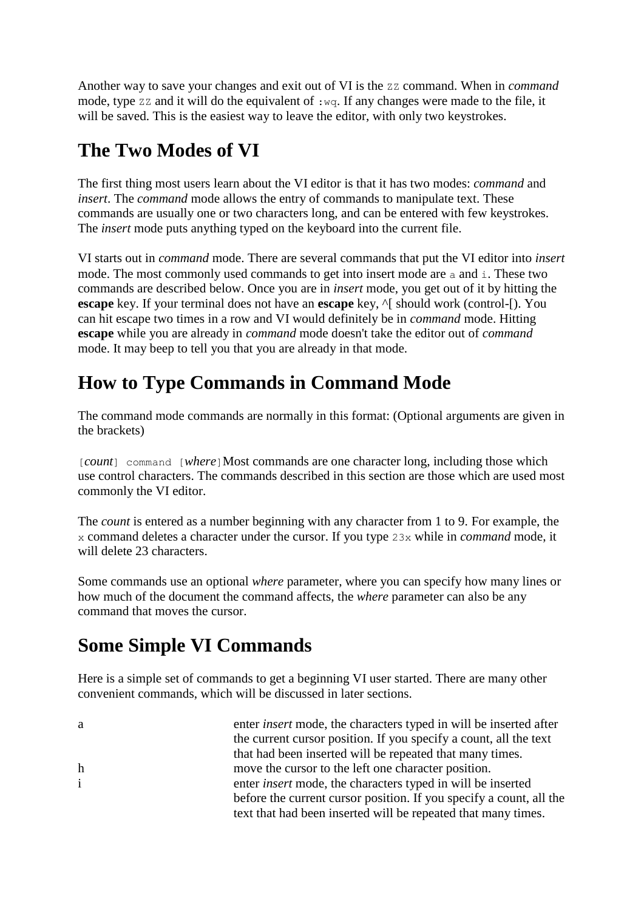Another way to save your changes and exit out of VI is the zz command. When in *command* mode, type  $\overline{z}z$  and it will do the equivalent of : wq. If any changes were made to the file, it will be saved. This is the easiest way to leave the editor, with only two keystrokes.

### **The Two Modes of VI**

The first thing most users learn about the VI editor is that it has two modes: *command* and *insert*. The *command* mode allows the entry of commands to manipulate text. These commands are usually one or two characters long, and can be entered with few keystrokes. The *insert* mode puts anything typed on the keyboard into the current file.

VI starts out in *command* mode. There are several commands that put the VI editor into *insert* mode. The most commonly used commands to get into insert mode are a and i. These two commands are described below. Once you are in *insert* mode, you get out of it by hitting the **escape** key. If your terminal does not have an **escape** key,  $\wedge$ [ should work (control-[). You can hit escape two times in a row and VI would definitely be in *command* mode. Hitting **escape** while you are already in *command* mode doesn't take the editor out of *command* mode. It may beep to tell you that you are already in that mode.

# **How to Type Commands in Command Mode**

The command mode commands are normally in this format: (Optional arguments are given in the brackets)

[*count*] command [*where*]Most commands are one character long, including those which use control characters. The commands described in this section are those which are used most commonly the VI editor.

The *count* is entered as a number beginning with any character from 1 to 9. For example, the x command deletes a character under the cursor. If you type 23x while in *command* mode, it will delete 23 characters.

Some commands use an optional *where* parameter, where you can specify how many lines or how much of the document the command affects, the *where* parameter can also be any command that moves the cursor.

# **Some Simple VI Commands**

Here is a simple set of commands to get a beginning VI user started. There are many other convenient commands, which will be discussed in later sections.

| a            | enter <i>insert</i> mode, the characters typed in will be inserted after |
|--------------|--------------------------------------------------------------------------|
|              | the current cursor position. If you specify a count, all the text        |
|              | that had been inserted will be repeated that many times.                 |
| $\mathbf h$  | move the cursor to the left one character position.                      |
| $\mathbf{i}$ | enter <i>insert</i> mode, the characters typed in will be inserted       |
|              | before the current cursor position. If you specify a count, all the      |
|              | text that had been inserted will be repeated that many times.            |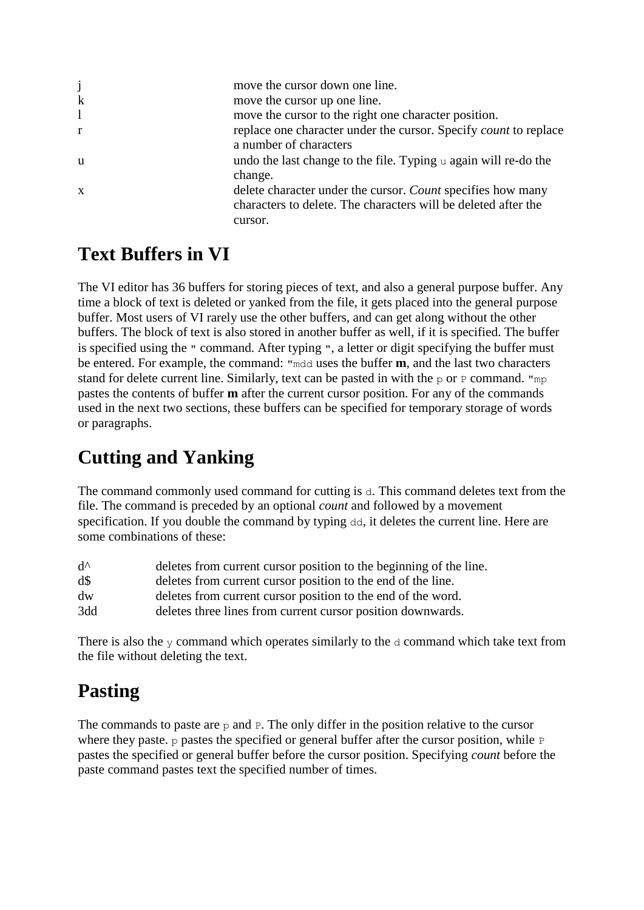| move the cursor down one line.                                          |
|-------------------------------------------------------------------------|
| move the cursor up one line.                                            |
| move the cursor to the right one character position.                    |
| replace one character under the cursor. Specify <i>count</i> to replace |
| a number of characters                                                  |
| undo the last change to the file. Typing $\alpha$ again will re-do the  |
| change.                                                                 |
| delete character under the cursor. Count specifies how many             |
| characters to delete. The characters will be deleted after the          |
| cursor.                                                                 |
|                                                                         |

#### **Text Buffers in VI**

The VI editor has 36 buffers for storing pieces of text, and also a general purpose buffer. Any time a block of text is deleted or yanked from the file, it gets placed into the general purpose buffer. Most users of VI rarely use the other buffers, and can get along without the other buffers. The block of text is also stored in another buffer as well, if it is specified. The buffer is specified using the " command. After typing ", a letter or digit specifying the buffer must be entered. For example, the command: "mdd uses the buffer **m**, and the last two characters stand for delete current line. Similarly, text can be pasted in with the  $\infty$  or P command. "mp pastes the contents of buffer **m** after the current cursor position. For any of the commands used in the next two sections, these buffers can be specified for temporary storage of words or paragraphs.

### **Cutting and Yanking**

The command commonly used command for cutting is d. This command deletes text from the file. The command is preceded by an optional *count* and followed by a movement specification. If you double the command by typing dd, it deletes the current line. Here are some combinations of these:

| $d^{\wedge}$           | deletes from current cursor position to the beginning of the line. |
|------------------------|--------------------------------------------------------------------|
| $d\mathcal{S}$         | deletes from current cursor position to the end of the line.       |
| $\mathrm{d}\mathrm{w}$ | deletes from current cursor position to the end of the word.       |
| 3dd                    | deletes three lines from current cursor position downwards.        |

There is also the  $\gamma$  command which operates similarly to the  $\alpha$  command which take text from the file without deleting the text.

### **Pasting**

The commands to paste are  $p$  and  $p$ . The only differ in the position relative to the cursor where they paste, p pastes the specified or general buffer after the cursor position, while  $P$ pastes the specified or general buffer before the cursor position. Specifying *count* before the paste command pastes text the specified number of times.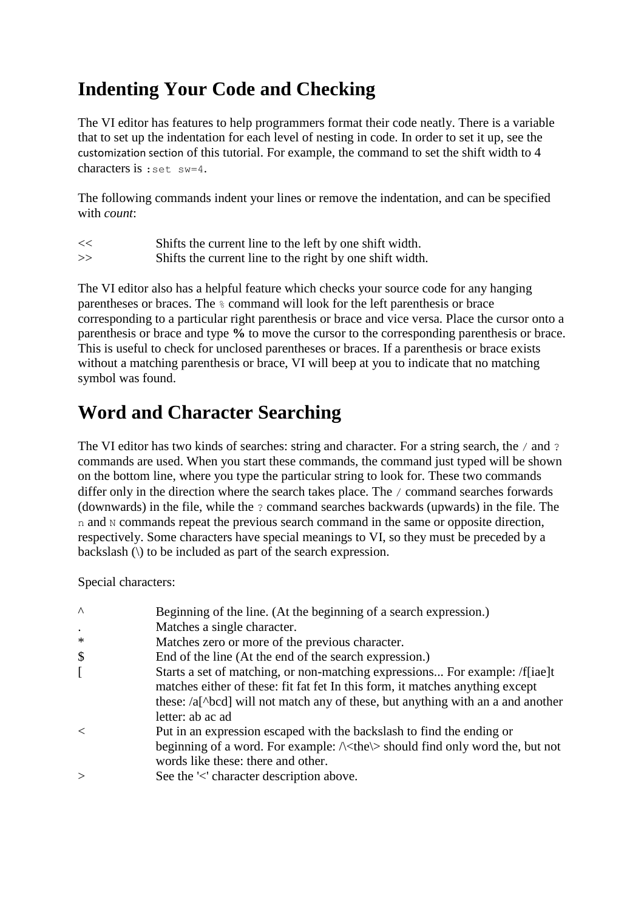### **Indenting Your Code and Checking**

The VI editor has features to help programmers format their code neatly. There is a variable that to set up the indentation for each level of nesting in code. In order to set it up, see the customization section of this tutorial. For example, the command to set the shift width to 4 characters is :set sw=4.

The following commands indent your lines or remove the indentation, and can be specified with *count*:

<< Shifts the current line to the left by one shift width. >> Shifts the current line to the right by one shift width.

The VI editor also has a helpful feature which checks your source code for any hanging parentheses or braces. The % command will look for the left parenthesis or brace corresponding to a particular right parenthesis or brace and vice versa. Place the cursor onto a parenthesis or brace and type **%** to move the cursor to the corresponding parenthesis or brace. This is useful to check for unclosed parentheses or braces. If a parenthesis or brace exists without a matching parenthesis or brace, VI will beep at you to indicate that no matching symbol was found.

### **Word and Character Searching**

The VI editor has two kinds of searches: string and character. For a string search, the / and ? commands are used. When you start these commands, the command just typed will be shown on the bottom line, where you type the particular string to look for. These two commands differ only in the direction where the search takes place. The / command searches forwards (downwards) in the file, while the ? command searches backwards (upwards) in the file. The n and N commands repeat the previous search command in the same or opposite direction, respectively. Some characters have special meanings to VI, so they must be preceded by a backslash (\) to be included as part of the search expression.

Special characters:

| $\wedge$ | Beginning of the line. (At the beginning of a search expression.)                                                                                                                                                                    |
|----------|--------------------------------------------------------------------------------------------------------------------------------------------------------------------------------------------------------------------------------------|
|          | Matches a single character.                                                                                                                                                                                                          |
| $\ast$   | Matches zero or more of the previous character.                                                                                                                                                                                      |
| \$       | End of the line (At the end of the search expression.)                                                                                                                                                                               |
|          | Starts a set of matching, or non-matching expressions For example: /f[iae]t<br>matches either of these: fit fat fet In this form, it matches anything except                                                                         |
|          | these: /a[^bcd] will not match any of these, but anything with an a and another<br>letter: ab ac ad                                                                                                                                  |
| $\,<\,$  | Put in an expression escaped with the backslash to find the ending or<br>beginning of a word. For example: $\triangle$ <the<math>\triangleright should find only word the, but not<br/>words like these: there and other.</the<math> |
| $\geq$   | See the '<' character description above.                                                                                                                                                                                             |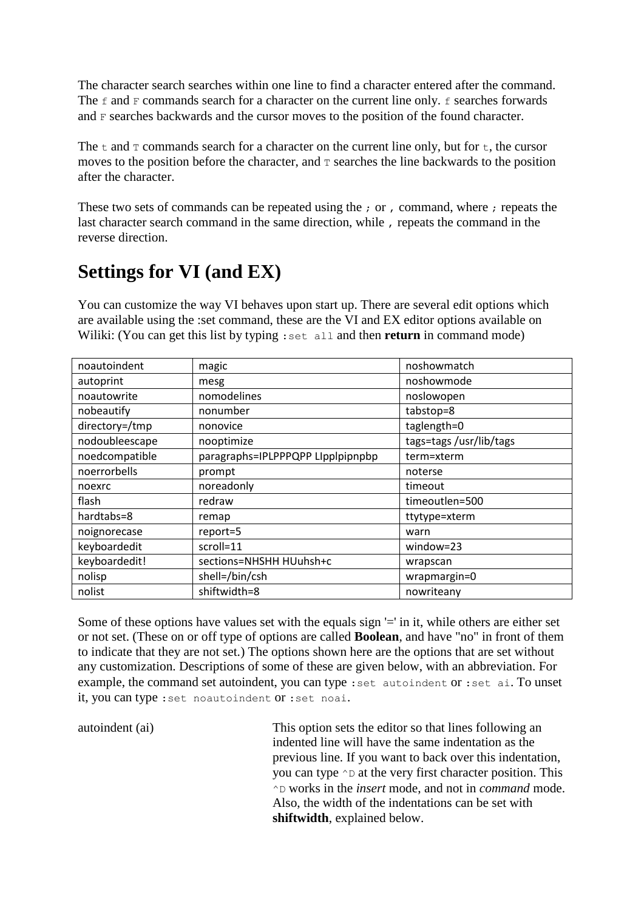The character search searches within one line to find a character entered after the command. The  $f$  and  $F$  commands search for a character on the current line only.  $f$  searches forwards and F searches backwards and the cursor moves to the position of the found character.

The t and  $\tau$  commands search for a character on the current line only, but for t, the cursor moves to the position before the character, and  $\tau$  searches the line backwards to the position after the character.

These two sets of commands can be repeated using the ; or , command, where ; repeats the last character search command in the same direction, while , repeats the command in the reverse direction.

### **Settings for VI (and EX)**

You can customize the way VI behaves upon start up. There are several edit options which are available using the :set command, these are the VI and EX editor options available on Wiliki: (You can get this list by typing : set all and then **return** in command mode)

| noautoindent   | magic                             | noshowmatch            |
|----------------|-----------------------------------|------------------------|
| autoprint      | mesg                              | noshowmode             |
| noautowrite    | nomodelines                       | noslowopen             |
| nobeautify     | nonumber                          | tabstop=8              |
| directory=/tmp | nonovice                          | taglength=0            |
| nodoubleescape | nooptimize                        | tags=tags/usr/lib/tags |
| noedcompatible | paragraphs=IPLPPPQPP LIpplpipnpbp | term=xterm             |
| noerrorbells   | prompt                            | noterse                |
| noexrc         | noreadonly                        | timeout                |
| flash          | redraw                            | timeoutlen=500         |
| hardtabs=8     | remap                             | ttytype=xterm          |
| noignorecase   | report=5                          | warn                   |
| keyboardedit   | scroll=11                         | window=23              |
| keyboardedit!  | sections=NHSHH HUuhsh+c           | wrapscan               |
| nolisp         | shell=/bin/csh                    | wrapmargin=0           |
| nolist         | shiftwidth=8                      | nowriteany             |

Some of these options have values set with the equals sign '=' in it, while others are either set or not set. (These on or off type of options are called **Boolean**, and have "no" in front of them to indicate that they are not set.) The options shown here are the options that are set without any customization. Descriptions of some of these are given below, with an abbreviation. For example, the command set autoindent, you can type :set autoindent or :set ai. To unset it, you can type :set noautoindent or :set noai.

autoindent (ai) This option sets the editor so that lines following an indented line will have the same indentation as the previous line. If you want to back over this indentation, you can type  $\sim$  p at the very first character position. This ^D works in the *insert* mode, and not in *command* mode. Also, the width of the indentations can be set with **shiftwidth**, explained below.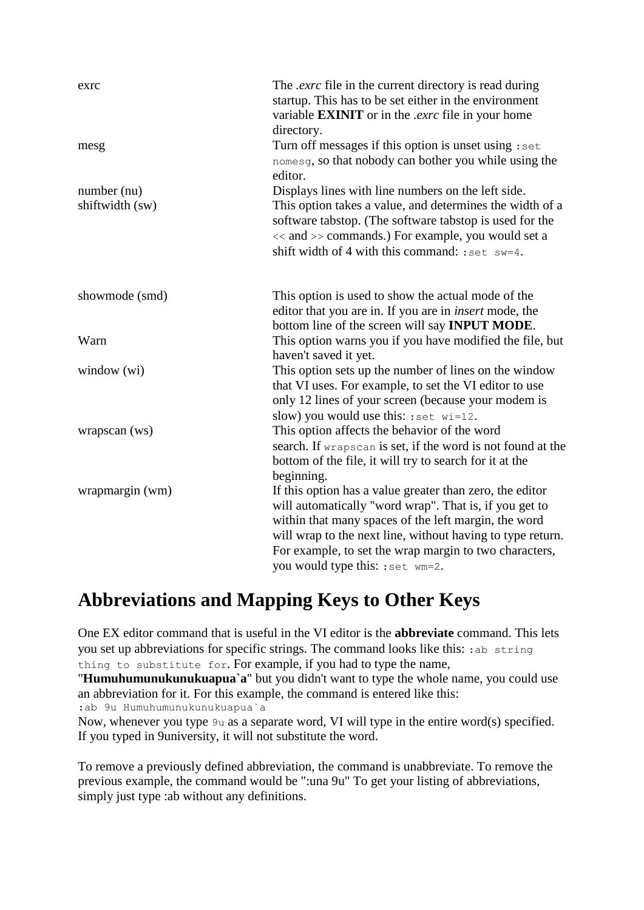| exrc                           | The <i>exrc</i> file in the current directory is read during<br>startup. This has to be set either in the environment<br>variable <b>EXINIT</b> or in the <i>.exrc</i> file in your home<br>directory.                                                                                                                                 |
|--------------------------------|----------------------------------------------------------------------------------------------------------------------------------------------------------------------------------------------------------------------------------------------------------------------------------------------------------------------------------------|
| mesg                           | Turn off messages if this option is unset using : set<br>nomesg, so that nobody can bother you while using the<br>editor.                                                                                                                                                                                                              |
| number (nu)<br>shiftwidth (sw) | Displays lines with line numbers on the left side.<br>This option takes a value, and determines the width of a<br>software tabstop. (The software tabstop is used for the<br><< and >> commands.) For example, you would set a<br>shift width of 4 with this command: : set $sw=4$ .                                                   |
| showmode (smd)                 | This option is used to show the actual mode of the<br>editor that you are in. If you are in <i>insert</i> mode, the<br>bottom line of the screen will say <b>INPUT MODE</b> .                                                                                                                                                          |
| Warn                           | This option warns you if you have modified the file, but<br>haven't saved it yet.                                                                                                                                                                                                                                                      |
| window (wi)                    | This option sets up the number of lines on the window<br>that VI uses. For example, to set the VI editor to use<br>only 12 lines of your screen (because your modem is<br>slow) you would use this: $: set$ wi=12.                                                                                                                     |
| wrapscan (ws)                  | This option affects the behavior of the word<br>search. If wrapscan is set, if the word is not found at the<br>bottom of the file, it will try to search for it at the<br>beginning.                                                                                                                                                   |
| wrapmargin (wm)                | If this option has a value greater than zero, the editor<br>will automatically "word wrap". That is, if you get to<br>within that many spaces of the left margin, the word<br>will wrap to the next line, without having to type return.<br>For example, to set the wrap margin to two characters,<br>you would type this: : set wm=2. |

# **Abbreviations and Mapping Keys to Other Keys**

One EX editor command that is useful in the VI editor is the **abbreviate** command. This lets you set up abbreviations for specific strings. The command looks like this: :ab string thing to substitute for. For example, if you had to type the name,

"**Humuhumunukunukuapua`a**" but you didn't want to type the whole name, you could use an abbreviation for it. For this example, the command is entered like this: :ab 9u Humuhumunukunukuapua`a

Now, whenever you type 9u as a separate word, VI will type in the entire word(s) specified. If you typed in 9university, it will not substitute the word.

To remove a previously defined abbreviation, the command is unabbreviate. To remove the previous example, the command would be ":una 9u" To get your listing of abbreviations, simply just type :ab without any definitions.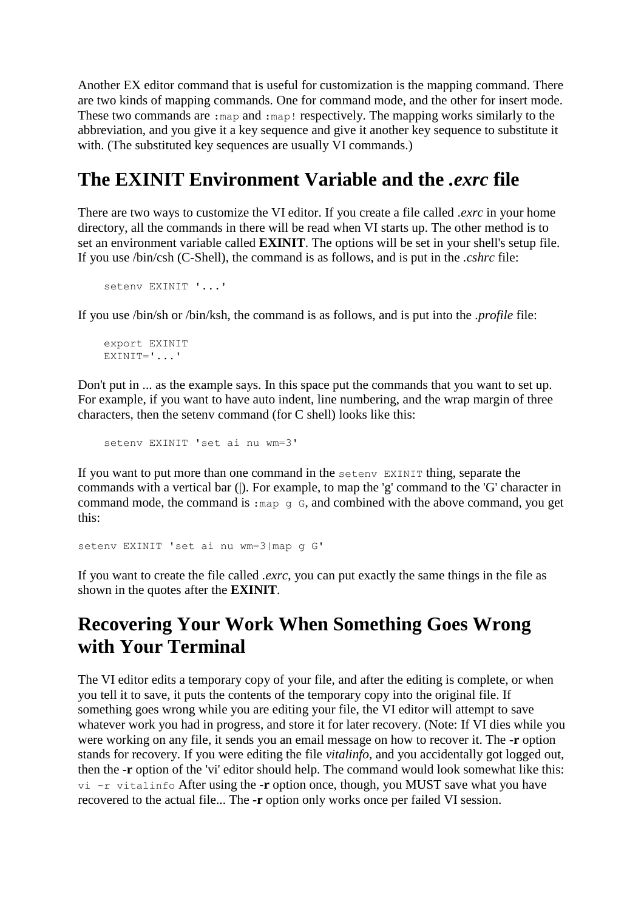Another EX editor command that is useful for customization is the mapping command. There are two kinds of mapping commands. One for command mode, and the other for insert mode. These two commands are : map and : map! respectively. The mapping works similarly to the abbreviation, and you give it a key sequence and give it another key sequence to substitute it with. (The substituted key sequences are usually VI commands.)

### **The EXINIT Environment Variable and the** *.exrc* **file**

There are two ways to customize the VI editor. If you create a file called *.exrc* in your home directory, all the commands in there will be read when VI starts up. The other method is to set an environment variable called **EXINIT**. The options will be set in your shell's setup file. If you use /bin/csh (C-Shell), the command is as follows, and is put in the *.cshrc* file:

```
 setenv EXINIT '...'
```
If you use /bin/sh or /bin/ksh, the command is as follows, and is put into the *.profile* file:

```
 export EXINIT
EXINIT='...'
```
Don't put in ... as the example says. In this space put the commands that you want to set up. For example, if you want to have auto indent, line numbering, and the wrap margin of three characters, then the setenv command (for C shell) looks like this:

setenv EXINIT 'set ai nu wm=3'

If you want to put more than one command in the setenv EXINIT thing, separate the commands with a vertical bar (|). For example, to map the 'g' command to the 'G' character in command mode, the command is : map g G, and combined with the above command, you get this:

```
setenv EXINIT 'set ai nu wm=3|map g G'
```
If you want to create the file called *.exrc*, you can put exactly the same things in the file as shown in the quotes after the **EXINIT**.

#### **Recovering Your Work When Something Goes Wrong with Your Terminal**

The VI editor edits a temporary copy of your file, and after the editing is complete, or when you tell it to save, it puts the contents of the temporary copy into the original file. If something goes wrong while you are editing your file, the VI editor will attempt to save whatever work you had in progress, and store it for later recovery. (Note: If VI dies while you were working on any file, it sends you an email message on how to recover it. The **-r** option stands for recovery. If you were editing the file *vitalinfo*, and you accidentally got logged out, then the **-r** option of the 'vi' editor should help. The command would look somewhat like this: vi -r vitalinfo After using the **-r** option once, though, you MUST save what you have recovered to the actual file... The **-r** option only works once per failed VI session.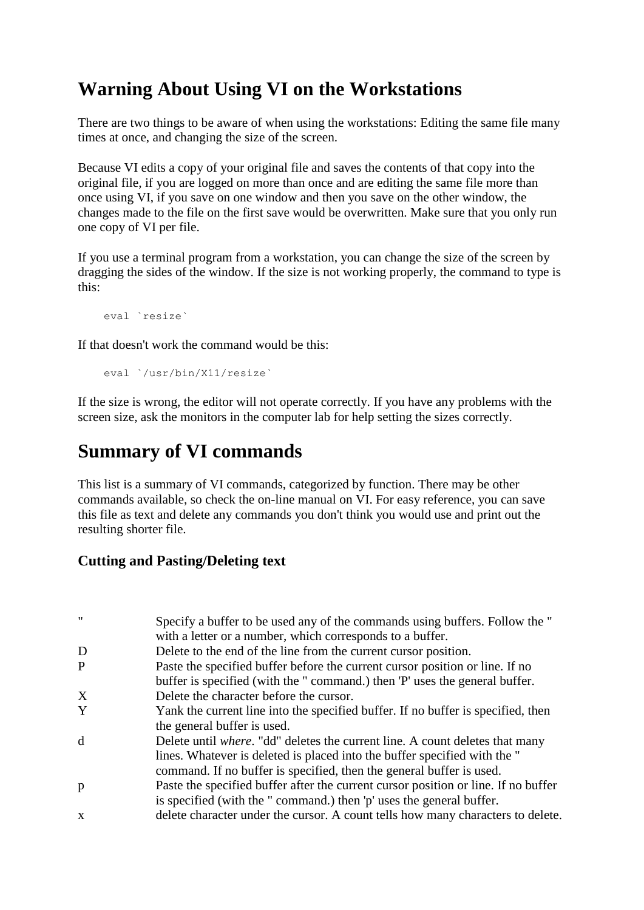### **Warning About Using VI on the Workstations**

There are two things to be aware of when using the workstations: Editing the same file many times at once, and changing the size of the screen.

Because VI edits a copy of your original file and saves the contents of that copy into the original file, if you are logged on more than once and are editing the same file more than once using VI, if you save on one window and then you save on the other window, the changes made to the file on the first save would be overwritten. Make sure that you only run one copy of VI per file.

If you use a terminal program from a workstation, you can change the size of the screen by dragging the sides of the window. If the size is not working properly, the command to type is this:

```
 eval `resize`
```
If that doesn't work the command would be this:

```
 eval `/usr/bin/X11/resize`
```
If the size is wrong, the editor will not operate correctly. If you have any problems with the screen size, ask the monitors in the computer lab for help setting the sizes correctly.

### **Summary of VI commands**

This list is a summary of VI commands, categorized by function. There may be other commands available, so check the on-line manual on VI. For easy reference, you can save this file as text and delete any commands you don't think you would use and print out the resulting shorter file.

#### **Cutting and Pasting/Deleting text**

| Specify a buffer to be used any of the commands using buffers. Follow the "          |
|--------------------------------------------------------------------------------------|
| with a letter or a number, which corresponds to a buffer.                            |
| Delete to the end of the line from the current cursor position.                      |
| Paste the specified buffer before the current cursor position or line. If no         |
| buffer is specified (with the "command.) then 'P' uses the general buffer.           |
| Delete the character before the cursor.                                              |
| Yank the current line into the specified buffer. If no buffer is specified, then     |
| the general buffer is used.                                                          |
| Delete until <i>where</i> . "dd" deletes the current line. A count deletes that many |
| lines. Whatever is deleted is placed into the buffer specified with the "            |
| command. If no buffer is specified, then the general buffer is used.                 |
| Paste the specified buffer after the current cursor position or line. If no buffer   |
| is specified (with the "command.) then 'p' uses the general buffer.                  |
| delete character under the cursor. A count tells how many characters to delete.      |
|                                                                                      |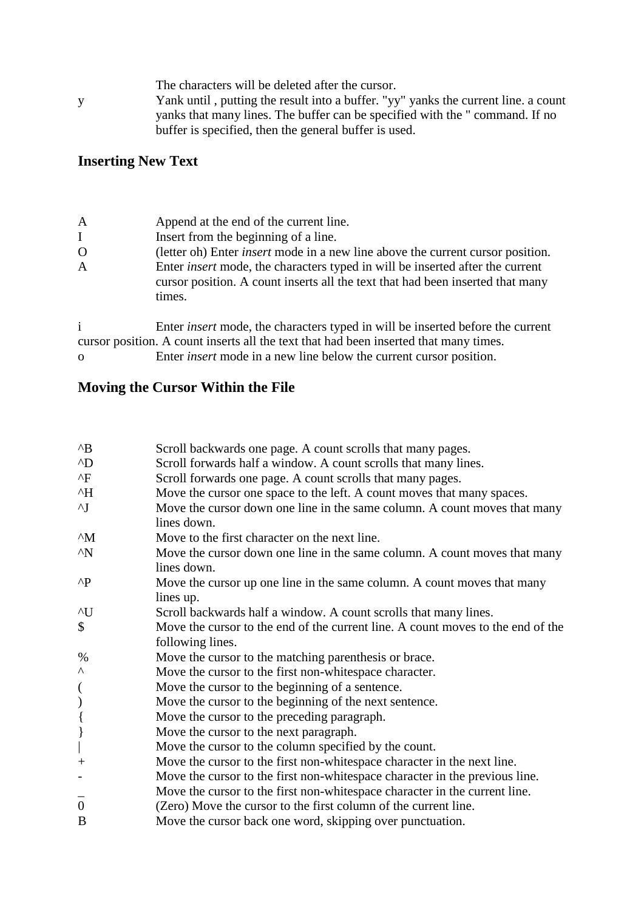| The characters will be deleted after the cursor. |  |
|--------------------------------------------------|--|
|--------------------------------------------------|--|

y Yank until , putting the result into a buffer. "yy" yanks the current line. a count yanks that many lines. The buffer can be specified with the " command. If no buffer is specified, then the general buffer is used.

#### **Inserting New Text**

| $\mathbf{A}$ | Append at the end of the current line.                                                                                                                                           |
|--------------|----------------------------------------------------------------------------------------------------------------------------------------------------------------------------------|
| $\mathbf I$  | Insert from the beginning of a line.                                                                                                                                             |
| $\Omega$     | (letter oh) Enter <i>insert</i> mode in a new line above the current cursor position.                                                                                            |
| A            | Enter <i>insert</i> mode, the characters typed in will be inserted after the current<br>cursor position. A count inserts all the text that had been inserted that many<br>times. |
|              | Enter <i>insert</i> mode, the characters typed in will be inserted before the current<br>cursor position. A count inserts all the text that had been inserted that many times.   |

#### o Enter *insert* mode in a new line below the current cursor position.

#### **Moving the Cursor Within the File**

| $^{\wedge}B$             | Scroll backwards one page. A count scrolls that many pages.                              |
|--------------------------|------------------------------------------------------------------------------------------|
| $^{\wedge}D$             | Scroll forwards half a window. A count scrolls that many lines.                          |
| $^{\wedge}$ F            | Scroll forwards one page. A count scrolls that many pages.                               |
| $^{\wedge}H$             | Move the cursor one space to the left. A count moves that many spaces.                   |
| $\mathbf{v}$             | Move the cursor down one line in the same column. A count moves that many                |
|                          | lines down.                                                                              |
| $^{\wedge}M$             | Move to the first character on the next line.                                            |
| $^{\wedge}N$             | Move the cursor down one line in the same column. A count moves that many<br>lines down. |
| $\wedge$ P               |                                                                                          |
|                          | Move the cursor up one line in the same column. A count moves that many                  |
| $\mathcal{N}$            | lines up.                                                                                |
|                          | Scroll backwards half a window. A count scrolls that many lines.                         |
| \$                       | Move the cursor to the end of the current line. A count moves to the end of the          |
|                          | following lines.                                                                         |
| %                        | Move the cursor to the matching parenthesis or brace.                                    |
| Λ                        | Move the cursor to the first non-white space character.                                  |
| $\overline{\mathcal{L}}$ | Move the cursor to the beginning of a sentence.                                          |
| $\mathcal{E}$            | Move the cursor to the beginning of the next sentence.                                   |
| $\{$                     | Move the cursor to the preceding paragraph.                                              |
| $\hspace{0.025cm}\}$     | Move the cursor to the next paragraph.                                                   |
|                          | Move the cursor to the column specified by the count.                                    |
| $^{+}$                   | Move the cursor to the first non-whitespace character in the next line.                  |
|                          | Move the cursor to the first non-whitespace character in the previous line.              |
|                          | Move the cursor to the first non-white space character in the current line.              |
| $\overline{0}$           | (Zero) Move the cursor to the first column of the current line.                          |
| B                        | Move the cursor back one word, skipping over punctuation.                                |
|                          |                                                                                          |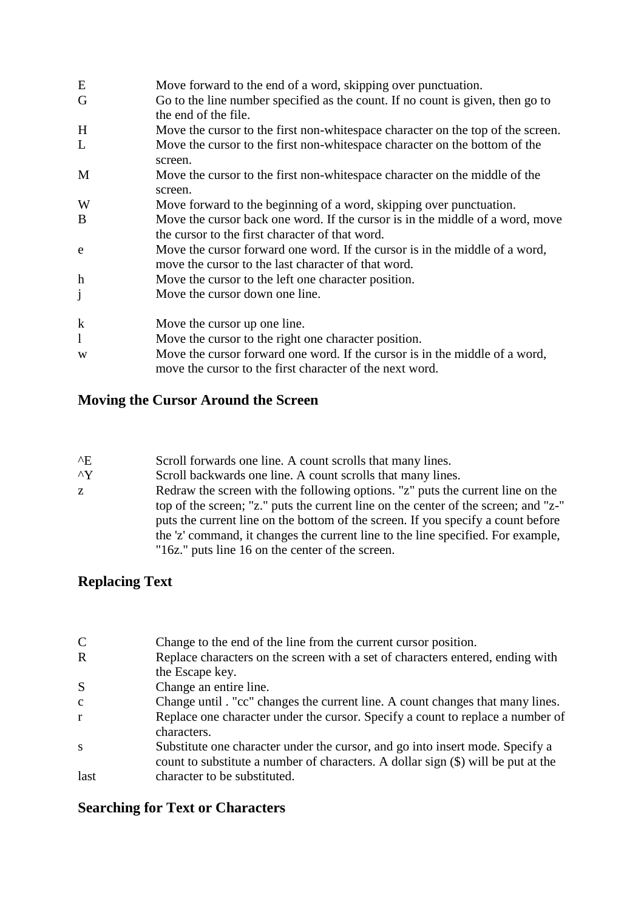| E                         | Move forward to the end of a word, skipping over punctuation.                                                                           |
|---------------------------|-----------------------------------------------------------------------------------------------------------------------------------------|
| G                         | Go to the line number specified as the count. If no count is given, then go to<br>the end of the file.                                  |
| H                         | Move the cursor to the first non-white space character on the top of the screen.                                                        |
| L                         | Move the cursor to the first non-whitespace character on the bottom of the<br>screen.                                                   |
| M                         | Move the cursor to the first non-white space character on the middle of the<br>screen.                                                  |
| W                         | Move forward to the beginning of a word, skipping over punctuation.                                                                     |
| B                         | Move the cursor back one word. If the cursor is in the middle of a word, move<br>the cursor to the first character of that word.        |
| e                         | Move the cursor forward one word. If the cursor is in the middle of a word,<br>move the cursor to the last character of that word.      |
| $\boldsymbol{\mathrm{h}}$ | Move the cursor to the left one character position.                                                                                     |
| j                         | Move the cursor down one line.                                                                                                          |
| $\bf k$                   | Move the cursor up one line.                                                                                                            |
| 1                         | Move the cursor to the right one character position.                                                                                    |
| W                         | Move the cursor forward one word. If the cursor is in the middle of a word,<br>move the cursor to the first character of the next word. |

#### **Moving the Cursor Around the Screen**

| $^{\wedge}E$ | Scroll forwards one line. A count scrolls that many lines. |
|--------------|------------------------------------------------------------|
|--------------|------------------------------------------------------------|

- ^Y Scroll backwards one line. A count scrolls that many lines.
- z Redraw the screen with the following options. "z" puts the current line on the top of the screen; "z." puts the current line on the center of the screen; and "z-" puts the current line on the bottom of the screen. If you specify a count before the 'z' command, it changes the current line to the line specified. For example, "16z." puts line 16 on the center of the screen.

#### **Replacing Text**

| $\mathcal{C}$ | Change to the end of the line from the current cursor position.                   |
|---------------|-----------------------------------------------------------------------------------|
| $\mathbf R$   | Replace characters on the screen with a set of characters entered, ending with    |
|               | the Escape key.                                                                   |
| S             | Change an entire line.                                                            |
| $\mathbf{C}$  | Change until . "cc" changes the current line. A count changes that many lines.    |
| r             | Replace one character under the cursor. Specify a count to replace a number of    |
|               | characters.                                                                       |
| S             | Substitute one character under the cursor, and go into insert mode. Specify a     |
|               | count to substitute a number of characters. A dollar sign (\$) will be put at the |
| last          | character to be substituted.                                                      |

#### **Searching for Text or Characters**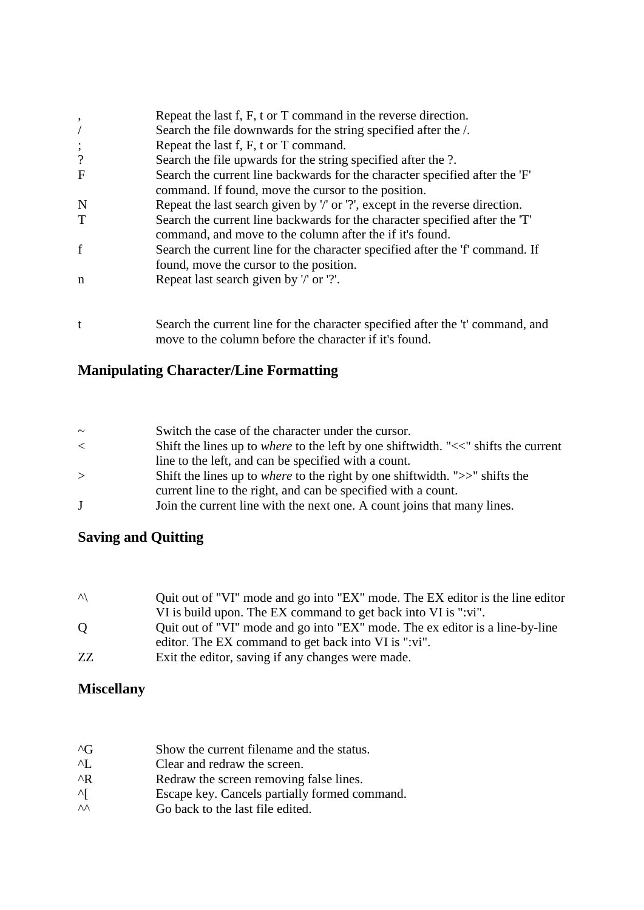| ,                        | Repeat the last f, F, t or T command in the reverse direction.                                                                           |
|--------------------------|------------------------------------------------------------------------------------------------------------------------------------------|
|                          | Search the file downwards for the string specified after the /.                                                                          |
| $\vdots$                 | Repeat the last f, F, t or T command.                                                                                                    |
| $\overline{\mathcal{L}}$ | Search the file upwards for the string specified after the ?.                                                                            |
| $\mathbf{F}$             | Search the current line backwards for the character specified after the 'F'                                                              |
|                          | command. If found, move the cursor to the position.                                                                                      |
| N                        | Repeat the last search given by '/' or '?', except in the reverse direction.                                                             |
| T                        | Search the current line backwards for the character specified after the 'T'<br>command, and move to the column after the if it's found.  |
| $\mathbf f$              | Search the current line for the character specified after the 'f' command. If                                                            |
|                          | found, move the cursor to the position.                                                                                                  |
| n                        | Repeat last search given by '/' or '?'.                                                                                                  |
|                          |                                                                                                                                          |
| t                        | Search the current line for the character specified after the 't' command, and<br>move to the column before the character if it's found. |

#### **Manipulating Character/Line Formatting**

| $\sim$ | Switch the case of the character under the cursor.                                        |
|--------|-------------------------------------------------------------------------------------------|
| $\lt$  | Shift the lines up to <i>where</i> to the left by one shiftwidth. "<<" shifts the current |
|        | line to the left, and can be specified with a count.                                      |
| $\geq$ | Shift the lines up to <i>where</i> to the right by one shiftwidth. " $>>$ " shifts the    |
|        | current line to the right, and can be specified with a count.                             |
| J      | Join the current line with the next one. A count joins that many lines.                   |

#### **Saving and Quitting**

| $\sqrt{ }$ | Quit out of "VI" mode and go into "EX" mode. The EX editor is the line editor |
|------------|-------------------------------------------------------------------------------|
|            | VI is build upon. The EX command to get back into VI is ":vi".                |
| $\Omega$   | Quit out of "VI" mode and go into "EX" mode. The ex editor is a line-by-line  |
|            | editor. The EX command to get back into VI is ":vi".                          |
| ZZ.        | Exit the editor, saving if any changes were made.                             |

#### **Miscellany**

| $\Lambda$ <sup><math>\Gamma</math></sup> | Show the current filename and the status.     |
|------------------------------------------|-----------------------------------------------|
| $\Delta$ T                               | Clear and redraw the screen.                  |
| ^R                                       | Redraw the screen removing false lines.       |
| ΔL                                       | Escape key. Cancels partially formed command. |

 $\wedge$  Go back to the last file edited.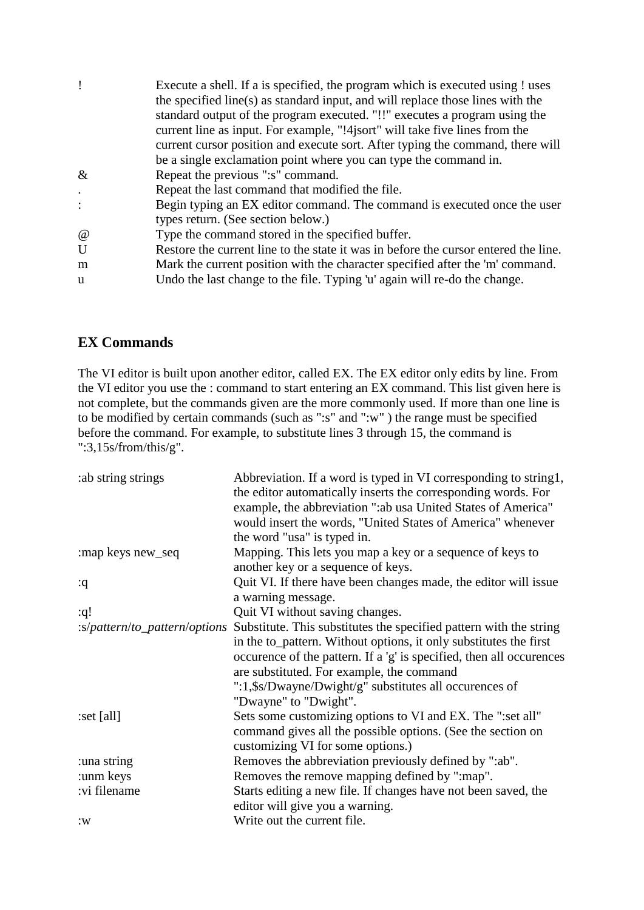|              | Execute a shell. If a is specified, the program which is executed using ! uses      |
|--------------|-------------------------------------------------------------------------------------|
|              | the specified line(s) as standard input, and will replace those lines with the      |
|              | standard output of the program executed. "!!" executes a program using the          |
|              | current line as input. For example, "!4 jsort" will take five lines from the        |
|              | current cursor position and execute sort. After typing the command, there will      |
|              | be a single exclamation point where you can type the command in.                    |
| $\&$         | Repeat the previous ":s" command.                                                   |
|              | Repeat the last command that modified the file.                                     |
|              | Begin typing an EX editor command. The command is executed once the user            |
|              | types return. (See section below.)                                                  |
| $\omega$     | Type the command stored in the specified buffer.                                    |
| $\mathbf{U}$ | Restore the current line to the state it was in before the cursor entered the line. |
| m            | Mark the current position with the character specified after the 'm' command.       |
| u            | Undo the last change to the file. Typing 'u' again will re-do the change.           |
|              |                                                                                     |

#### **EX Commands**

The VI editor is built upon another editor, called EX. The EX editor only edits by line. From the VI editor you use the : command to start entering an EX command. This list given here is not complete, but the commands given are the more commonly used. If more than one line is to be modified by certain commands (such as ":s" and ":w" ) the range must be specified before the command. For example, to substitute lines 3 through 15, the command is ":3,15s/from/this/g".

| : ab string strings           | Abbreviation. If a word is typed in VI corresponding to string1,     |
|-------------------------------|----------------------------------------------------------------------|
|                               | the editor automatically inserts the corresponding words. For        |
|                               | example, the abbreviation ": ab usa United States of America"        |
|                               | would insert the words, "United States of America" whenever          |
|                               | the word "usa" is typed in.                                          |
| :map keys new_seq             | Mapping. This lets you map a key or a sequence of keys to            |
|                               | another key or a sequence of keys.                                   |
| :q                            | Quit VI. If there have been changes made, the editor will issue      |
|                               | a warning message.                                                   |
| :q!                           | Quit VI without saving changes.                                      |
| :s/pattern/to_pattern/options | Substitute. This substitutes the specified pattern with the string   |
|                               | in the to_pattern. Without options, it only substitutes the first    |
|                               | occurence of the pattern. If a 'g' is specified, then all occurences |
|                               | are substituted. For example, the command                            |
|                               | ":1,\$s/Dwayne/Dwight/g" substitutes all occurences of               |
|                               | "Dwayne" to "Dwight".                                                |
| :set [all]                    | Sets some customizing options to VI and EX. The ":set all"           |
|                               | command gives all the possible options. (See the section on          |
|                               | customizing VI for some options.)                                    |
| :una string                   | Removes the abbreviation previously defined by ":ab".                |
| :unm keys                     | Removes the remove mapping defined by ":map".                        |
| :vi filename                  | Starts editing a new file. If changes have not been saved, the       |
|                               | editor will give you a warning.                                      |
| :W                            | Write out the current file.                                          |